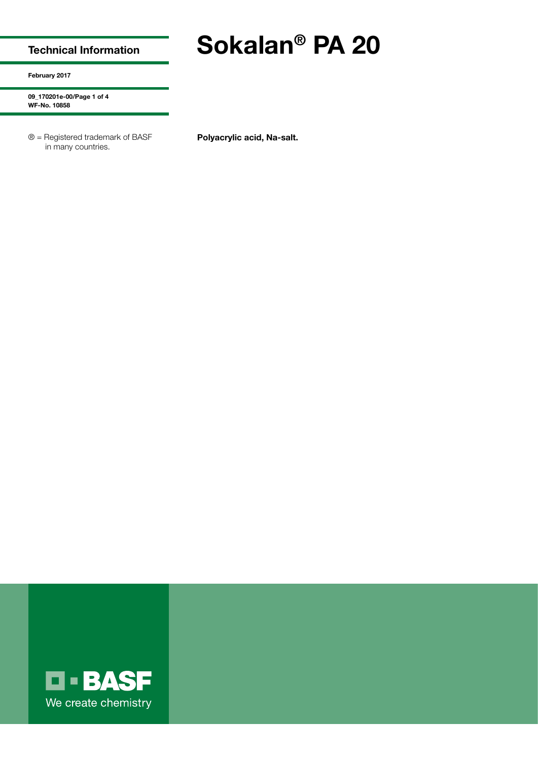## Technical Information

February 2017

09\_170201e-00/Page 1 of 4 WF-No. 10858

® = Registered trademark of BASF in many countries.

Polyacrylic acid, Na-salt.

Sokalan® PA 20

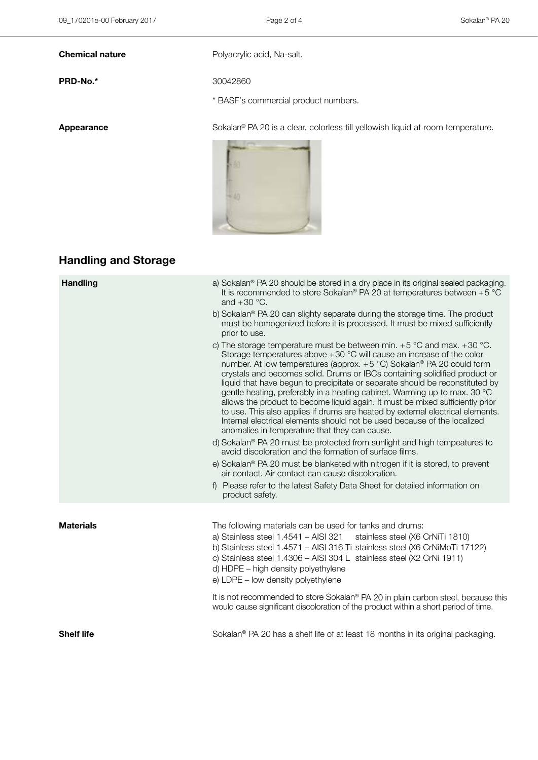Chemical nature **Chemical nature** Polyacrylic acid, Na-salt.

PRD-No.\* 30042860

\* BASF's commercial product numbers.

Appearance Sokalan<sup>®</sup> PA 20 is a clear, colorless till yellowish liquid at room temperature.



## Handling and Storage

| <b>Handling</b>   | a) Sokalan® PA 20 should be stored in a dry place in its original sealed packaging.<br>It is recommended to store Sokalan® PA 20 at temperatures between $+5$ °C<br>and $+30^{\circ}$ C.                                                                                                                                                                                                                                                                                                                                                                                                                                                                                                                                                                                                                                                                                                                                                                                                                                                                                                                                                                             |
|-------------------|----------------------------------------------------------------------------------------------------------------------------------------------------------------------------------------------------------------------------------------------------------------------------------------------------------------------------------------------------------------------------------------------------------------------------------------------------------------------------------------------------------------------------------------------------------------------------------------------------------------------------------------------------------------------------------------------------------------------------------------------------------------------------------------------------------------------------------------------------------------------------------------------------------------------------------------------------------------------------------------------------------------------------------------------------------------------------------------------------------------------------------------------------------------------|
|                   | b) Sokalan® PA 20 can slighty separate during the storage time. The product<br>must be homogenized before it is processed. It must be mixed sufficiently<br>prior to use.                                                                                                                                                                                                                                                                                                                                                                                                                                                                                                                                                                                                                                                                                                                                                                                                                                                                                                                                                                                            |
|                   | c) The storage temperature must be between min. $+5$ °C and max. $+30$ °C.<br>Storage temperatures above +30 °C will cause an increase of the color<br>number. At low temperatures (approx. +5 °C) Sokalan® PA 20 could form<br>crystals and becomes solid. Drums or IBCs containing solidified product or<br>liquid that have begun to precipitate or separate should be reconstituted by<br>gentle heating, preferably in a heating cabinet. Warming up to max. 30 °C<br>allows the product to become liquid again. It must be mixed sufficiently prior<br>to use. This also applies if drums are heated by external electrical elements.<br>Internal electrical elements should not be used because of the localized<br>anomalies in temperature that they can cause.<br>d) Sokalan® PA 20 must be protected from sunlight and high tempeatures to<br>avoid discoloration and the formation of surface films.<br>e) Sokalan <sup>®</sup> PA 20 must be blanketed with nitrogen if it is stored, to prevent<br>air contact. Air contact can cause discoloration.<br>f) Please refer to the latest Safety Data Sheet for detailed information on<br>product safety. |
| <b>Materials</b>  | The following materials can be used for tanks and drums:                                                                                                                                                                                                                                                                                                                                                                                                                                                                                                                                                                                                                                                                                                                                                                                                                                                                                                                                                                                                                                                                                                             |
|                   | a) Stainless steel 1.4541 - AISI 321<br>stainless steel (X6 CrNiTi 1810)<br>b) Stainless steel 1.4571 - AISI 316 Ti stainless steel (X6 CrNiMoTi 17122)<br>c) Stainless steel 1.4306 - AISI 304 L stainless steel (X2 CrNi 1911)<br>d) HDPE - high density polyethylene<br>e) LDPE - low density polyethylene                                                                                                                                                                                                                                                                                                                                                                                                                                                                                                                                                                                                                                                                                                                                                                                                                                                        |
|                   | It is not recommended to store Sokalan® PA 20 in plain carbon steel, because this<br>would cause significant discoloration of the product within a short period of time.                                                                                                                                                                                                                                                                                                                                                                                                                                                                                                                                                                                                                                                                                                                                                                                                                                                                                                                                                                                             |
| <b>Shelf life</b> | Sokalan <sup>®</sup> PA 20 has a shelf life of at least 18 months in its original packaging.                                                                                                                                                                                                                                                                                                                                                                                                                                                                                                                                                                                                                                                                                                                                                                                                                                                                                                                                                                                                                                                                         |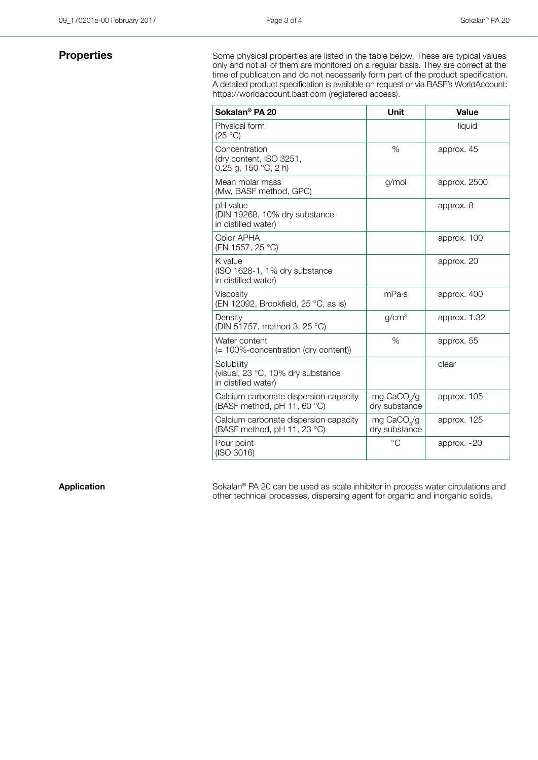**Properties** Some physical properties are listed in the table below. These are typical values only and not all of them are monitored on a regular basis. They are correct at the time of publication and do not necessarily form part of the product specification. A detailed product specification is available on request or via BASF's WorldAccount: https://worldaccount.basf.com (registered access).

| Sokalan <sup>®</sup> PA 20                                             | <b>Unit</b>                              | Value         |
|------------------------------------------------------------------------|------------------------------------------|---------------|
| Physical form<br>(25 °C)                                               |                                          | liquid        |
| Concentration<br>(dry content, ISO 3251,<br>0.25 g, 150 $°C$ , 2 h)    | $\%$                                     | approx. 45    |
| Mean molar mass<br>(Mw, BASF method, GPC)                              | g/mol                                    | approx. 2500  |
| pH value<br>(DIN 19268, 10% dry substance<br>in distilled water)       |                                          | approx. 8     |
| Color APHA<br>(EN 1557, 25 °C)                                         |                                          | approx. 100   |
| K value<br>(ISO 1628-1, 1% dry substance<br>in distilled water)        |                                          | approx. 20    |
| Viscosity<br>(EN 12092, Brookfield, 25 °C, as is)                      | mPa·s                                    | approx. 400   |
| Density<br>(DIN 51757, method 3, 25 °C)                                | q/cm <sup>3</sup>                        | approx. 1.32  |
| Water content<br>(= 100%-concentration (dry content))                  | %                                        | approx. 55    |
| Solubility<br>(visual, 23 °C, 10% dry substance<br>in distilled water) |                                          | clear         |
| Calcium carbonate dispersion capacity<br>(BASF method, pH 11, 60 °C)   | mg CaCO <sub>2</sub> /g<br>dry substance | approx. 105   |
| Calcium carbonate dispersion capacity<br>(BASF method, pH 11, 23 °C)   | mg CaCO <sub>2</sub> /g<br>dry substance | approx. 125   |
| Pour point<br>(ISO 3016)                                               | $^{\circ}C$                              | approx. $-20$ |

Application Sokalan<sup>®</sup> PA 20 can be used as scale inhibitor in process water circulations and other technical processes, dispersing agent for organic and inorganic solids.